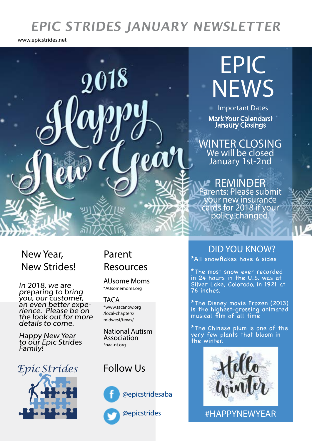# **EPIC STRIDES JANUARY NEWSLETTER**

www.epicstrides.net



## New Year, New Strides!

In 2018, we are preparing to bring you, our customer, an even better experience. Please be on<br>the look out for more details to come.

Happy New Year to our Epic Strides Family!

*Epic Strides*

# Resources

AUsome Moms \*AUsomemoms.org

**TACA** \*www.tacanow.org /local-chapters/ midwest/texas/

National Autism Association \*naa-nt.org

### Follow Us



@epicstridesaba

@epicstrides

## DID YOU KNOW? Parent

\*All snowflakes have 6 sides

\*The most snow ever recorded in 24 hours in the U.S. was at Silver Lake, Colorado, in 1921 at 76 inches.

\*The Disney movie Frozen (2013) is the highest-grossing animated musical film of all time

\*The Chinese plum is one of the very few plants that bloom in the winter.



#HAPPYNEWYEAR